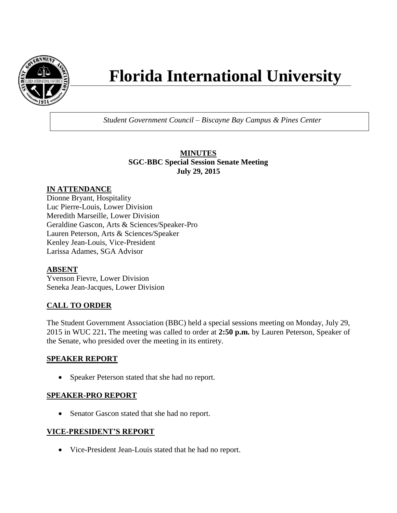

# **Florida International University**

*Student Government Council – Biscayne Bay Campus & Pines Center*

# **MINUTES SGC-BBC Special Session Senate Meeting July 29, 2015**

# **IN ATTENDANCE**

Dionne Bryant, Hospitality Luc Pierre-Louis, Lower Division Meredith Marseille, Lower Division Geraldine Gascon, Arts & Sciences/Speaker-Pro Lauren Peterson, Arts & Sciences/Speaker Kenley Jean-Louis, Vice-President Larissa Adames, SGA Advisor

## **ABSENT**

Yvenson Fievre, Lower Division Seneka Jean-Jacques, Lower Division

# **CALL TO ORDER**

The Student Government Association (BBC) held a special sessions meeting on Monday, July 29, 2015 in WUC 221**.** The meeting was called to order at **2:50 p.m.** by Lauren Peterson, Speaker of the Senate, who presided over the meeting in its entirety.

## **SPEAKER REPORT**

• Speaker Peterson stated that she had no report.

## **SPEAKER-PRO REPORT**

• Senator Gascon stated that she had no report.

## **VICE-PRESIDENT'S REPORT**

Vice-President Jean-Louis stated that he had no report.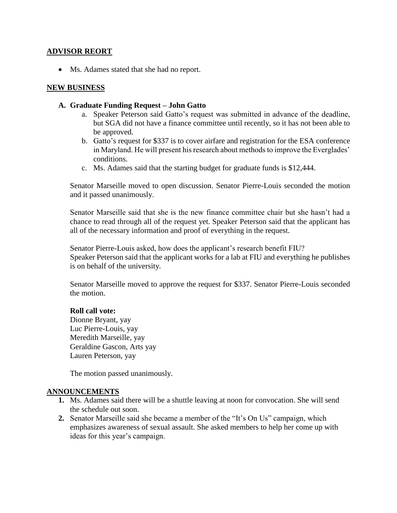#### **ADVISOR REORT**

• Ms. Adames stated that she had no report.

#### **NEW BUSINESS**

#### **A. Graduate Funding Request – John Gatto**

- a. Speaker Peterson said Gatto's request was submitted in advance of the deadline, but SGA did not have a finance committee until recently, so it has not been able to be approved.
- b. Gatto's request for \$337 is to cover airfare and registration for the ESA conference in Maryland. He will present his research about methods to improve the Everglades' conditions.
- c. Ms. Adames said that the starting budget for graduate funds is \$12,444.

Senator Marseille moved to open discussion. Senator Pierre-Louis seconded the motion and it passed unanimously.

Senator Marseille said that she is the new finance committee chair but she hasn't had a chance to read through all of the request yet. Speaker Peterson said that the applicant has all of the necessary information and proof of everything in the request.

Senator Pierre-Louis asked, how does the applicant's research benefit FIU? Speaker Peterson said that the applicant works for a lab at FIU and everything he publishes is on behalf of the university.

Senator Marseille moved to approve the request for \$337. Senator Pierre-Louis seconded the motion.

#### **Roll call vote:**

Dionne Bryant, yay Luc Pierre-Louis, yay Meredith Marseille, yay Geraldine Gascon, Arts yay Lauren Peterson, yay

The motion passed unanimously.

#### **ANNOUNCEMENTS**

- **1.** Ms. Adames said there will be a shuttle leaving at noon for convocation. She will send the schedule out soon.
- **2.** Senator Marseille said she became a member of the "It's On Us" campaign, which emphasizes awareness of sexual assault. She asked members to help her come up with ideas for this year's campaign.